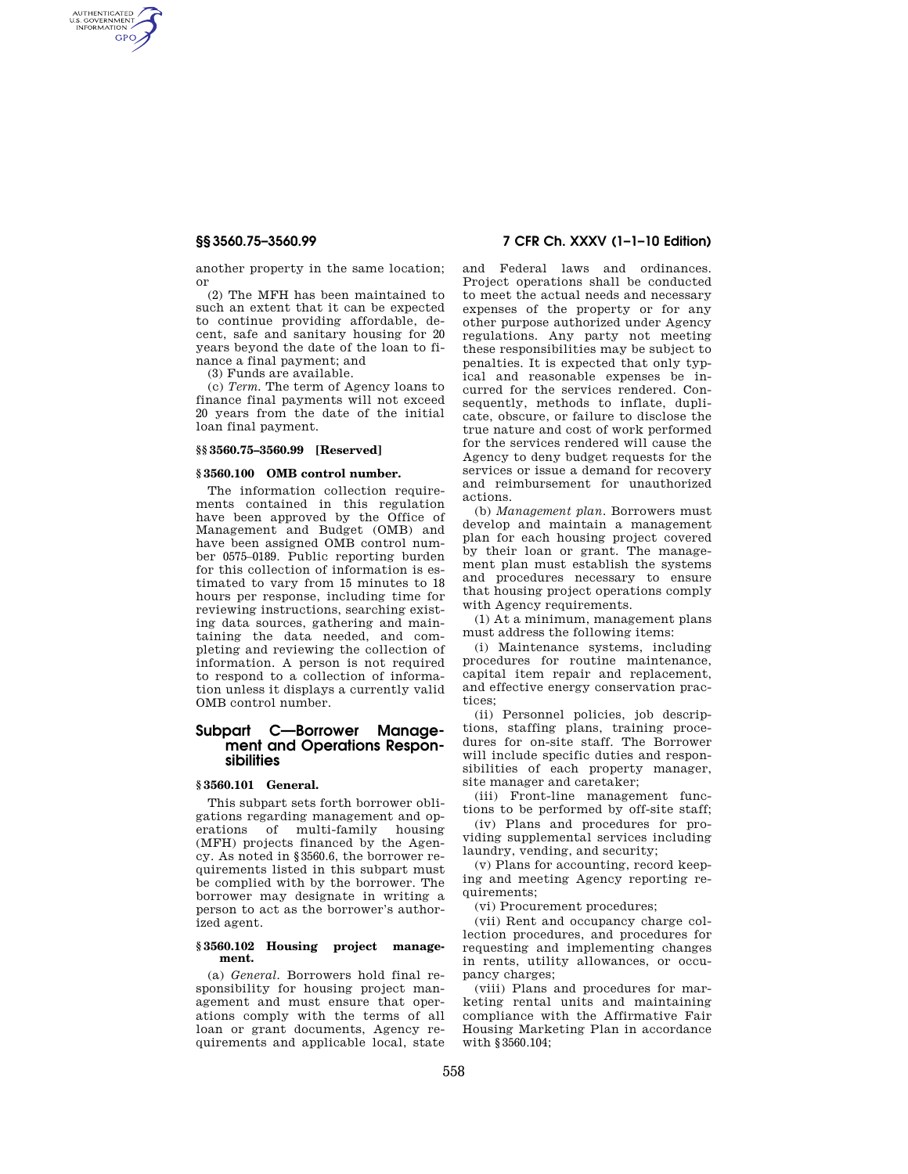AUTHENTICATED<br>U.S. GOVERNMENT<br>INFORMATION **GPO** 

> another property in the same location; or

> (2) The MFH has been maintained to such an extent that it can be expected to continue providing affordable, decent, safe and sanitary housing for 20 years beyond the date of the loan to finance a final payment; and

(3) Funds are available.

(c) *Term.* The term of Agency loans to finance final payments will not exceed 20 years from the date of the initial loan final payment.

## **§§ 3560.75–3560.99 [Reserved]**

### **§ 3560.100 OMB control number.**

The information collection requirements contained in this regulation have been approved by the Office of Management and Budget (OMB) and have been assigned OMB control number 0575–0189. Public reporting burden for this collection of information is estimated to vary from 15 minutes to 18 hours per response, including time for reviewing instructions, searching existing data sources, gathering and maintaining the data needed, and completing and reviewing the collection of information. A person is not required to respond to a collection of information unless it displays a currently valid OMB control number.

# **Subpart C—Borrower Management and Operations Responsibilities**

#### **§ 3560.101 General.**

This subpart sets forth borrower obligations regarding management and operations of multi-family housing (MFH) projects financed by the Agency. As noted in §3560.6, the borrower requirements listed in this subpart must be complied with by the borrower. The borrower may designate in writing a person to act as the borrower's authorized agent.

## **§ 3560.102 Housing project management.**

(a) *General.* Borrowers hold final responsibility for housing project management and must ensure that operations comply with the terms of all loan or grant documents, Agency requirements and applicable local, state

# **§§ 3560.75–3560.99 7 CFR Ch. XXXV (1–1–10 Edition)**

and Federal laws and ordinances. Project operations shall be conducted to meet the actual needs and necessary expenses of the property or for any other purpose authorized under Agency regulations. Any party not meeting these responsibilities may be subject to penalties. It is expected that only typical and reasonable expenses be incurred for the services rendered. Consequently, methods to inflate, duplicate, obscure, or failure to disclose the true nature and cost of work performed for the services rendered will cause the Agency to deny budget requests for the services or issue a demand for recovery and reimbursement for unauthorized actions.

(b) *Management plan.* Borrowers must develop and maintain a management plan for each housing project covered by their loan or grant. The management plan must establish the systems and procedures necessary to ensure that housing project operations comply with Agency requirements.

(1) At a minimum, management plans must address the following items:

(i) Maintenance systems, including procedures for routine maintenance, capital item repair and replacement, and effective energy conservation practices;

(ii) Personnel policies, job descriptions, staffing plans, training procedures for on-site staff. The Borrower will include specific duties and responsibilities of each property manager, site manager and caretaker;

(iii) Front-line management functions to be performed by off-site staff;

(iv) Plans and procedures for providing supplemental services including laundry, vending, and security;

(v) Plans for accounting, record keeping and meeting Agency reporting requirements;

(vi) Procurement procedures;

(vii) Rent and occupancy charge collection procedures, and procedures for requesting and implementing changes in rents, utility allowances, or occupancy charges;

(viii) Plans and procedures for marketing rental units and maintaining compliance with the Affirmative Fair Housing Marketing Plan in accordance with §3560.104;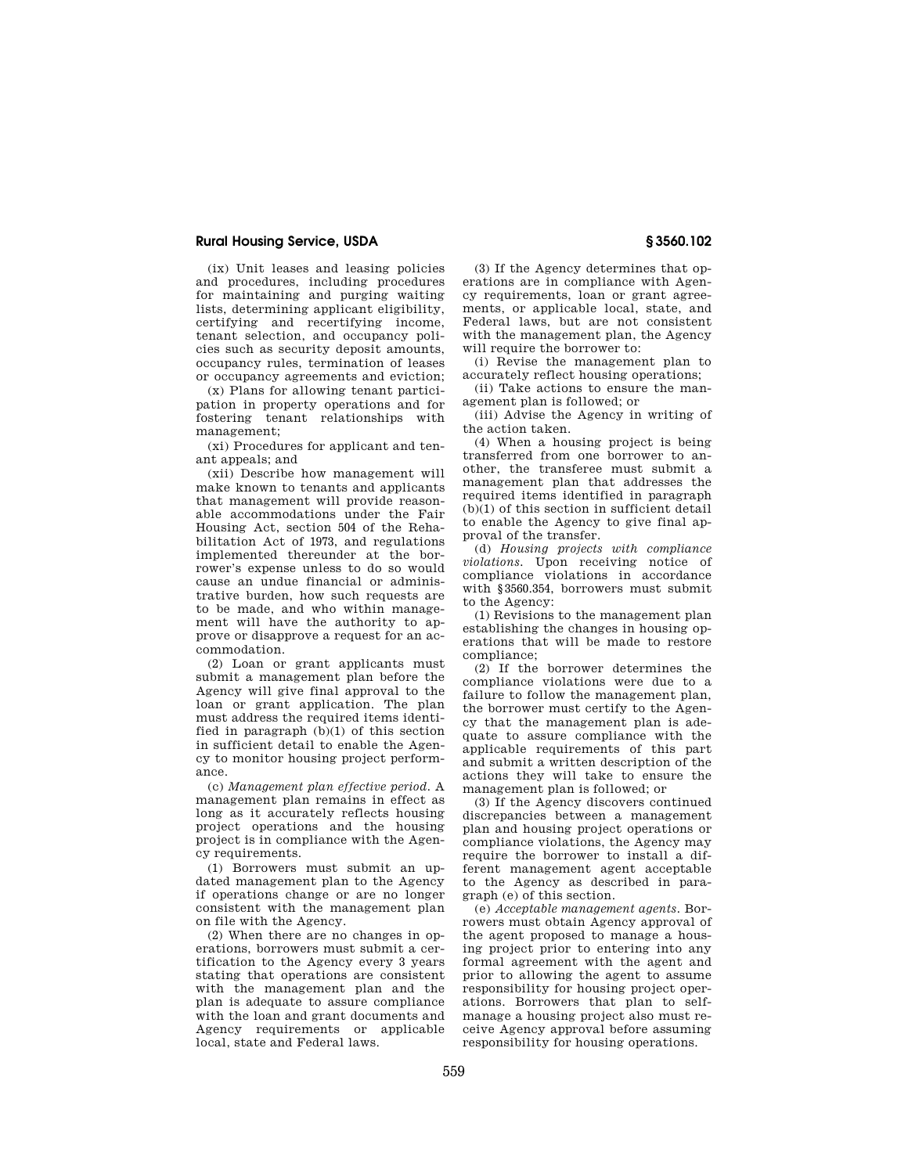# **Rural Housing Service, USDA § 3560.102**

(ix) Unit leases and leasing policies and procedures, including procedures for maintaining and purging waiting lists, determining applicant eligibility, certifying and recertifying income, tenant selection, and occupancy policies such as security deposit amounts, occupancy rules, termination of leases or occupancy agreements and eviction;

(x) Plans for allowing tenant participation in property operations and for fostering tenant relationships with management;

(xi) Procedures for applicant and tenant appeals; and

(xii) Describe how management will make known to tenants and applicants that management will provide reasonable accommodations under the Fair Housing Act, section 504 of the Rehabilitation Act of 1973, and regulations implemented thereunder at the borrower's expense unless to do so would cause an undue financial or administrative burden, how such requests are to be made, and who within management will have the authority to approve or disapprove a request for an accommodation.

(2) Loan or grant applicants must submit a management plan before the Agency will give final approval to the loan or grant application. The plan must address the required items identified in paragraph  $(b)(1)$  of this section in sufficient detail to enable the Agency to monitor housing project performance.

(c) *Management plan effective period.* A management plan remains in effect as long as it accurately reflects housing project operations and the housing project is in compliance with the Agency requirements.

(1) Borrowers must submit an updated management plan to the Agency if operations change or are no longer consistent with the management plan on file with the Agency.

(2) When there are no changes in operations, borrowers must submit a certification to the Agency every 3 years stating that operations are consistent with the management plan and the plan is adequate to assure compliance with the loan and grant documents and Agency requirements or applicable local, state and Federal laws.

(3) If the Agency determines that operations are in compliance with Agency requirements, loan or grant agreements, or applicable local, state, and Federal laws, but are not consistent with the management plan, the Agency will require the borrower to:

(i) Revise the management plan to accurately reflect housing operations;

(ii) Take actions to ensure the management plan is followed; or

(iii) Advise the Agency in writing of the action taken.

(4) When a housing project is being transferred from one borrower to another, the transferee must submit a management plan that addresses the required items identified in paragraph (b)(1) of this section in sufficient detail to enable the Agency to give final approval of the transfer.

(d) *Housing projects with compliance violations.* Upon receiving notice of compliance violations in accordance with §3560.354, borrowers must submit to the Agency:

(1) Revisions to the management plan establishing the changes in housing operations that will be made to restore compliance;

(2) If the borrower determines the compliance violations were due to a failure to follow the management plan, the borrower must certify to the Agency that the management plan is adequate to assure compliance with the applicable requirements of this part and submit a written description of the actions they will take to ensure the management plan is followed; or

(3) If the Agency discovers continued discrepancies between a management plan and housing project operations or compliance violations, the Agency may require the borrower to install a different management agent acceptable to the Agency as described in paragraph (e) of this section.

(e) *Acceptable management agents.* Borrowers must obtain Agency approval of the agent proposed to manage a housing project prior to entering into any formal agreement with the agent and prior to allowing the agent to assume responsibility for housing project operations. Borrowers that plan to selfmanage a housing project also must receive Agency approval before assuming responsibility for housing operations.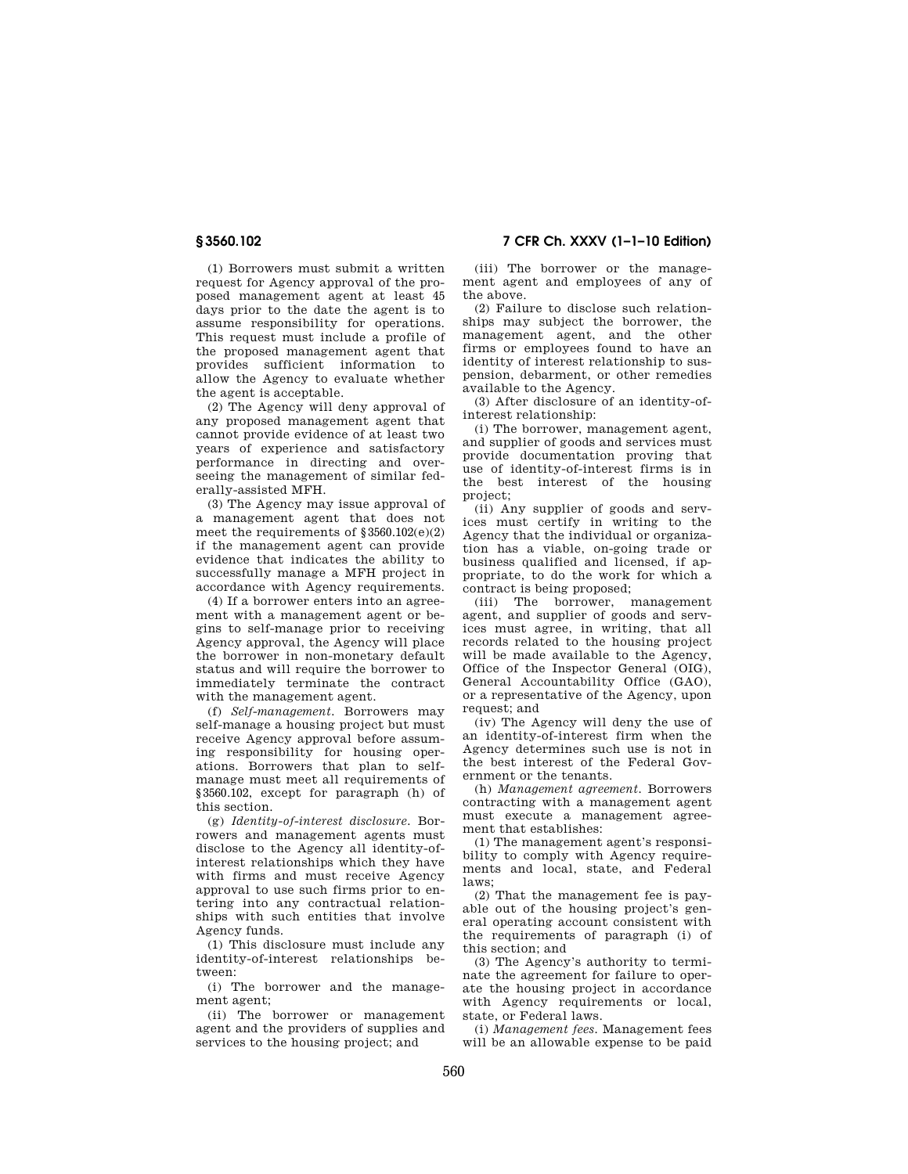**§ 3560.102 7 CFR Ch. XXXV (1–1–10 Edition)** 

(1) Borrowers must submit a written request for Agency approval of the proposed management agent at least 45 days prior to the date the agent is to assume responsibility for operations. This request must include a profile of the proposed management agent that provides sufficient information to allow the Agency to evaluate whether the agent is acceptable.

(2) The Agency will deny approval of any proposed management agent that cannot provide evidence of at least two years of experience and satisfactory performance in directing and overseeing the management of similar federally-assisted MFH.

(3) The Agency may issue approval of a management agent that does not meet the requirements of §3560.102(e)(2) if the management agent can provide evidence that indicates the ability to successfully manage a MFH project in accordance with Agency requirements.

(4) If a borrower enters into an agreement with a management agent or begins to self-manage prior to receiving Agency approval, the Agency will place the borrower in non-monetary default status and will require the borrower to immediately terminate the contract with the management agent.

(f) *Self-management.* Borrowers may self-manage a housing project but must receive Agency approval before assuming responsibility for housing operations. Borrowers that plan to selfmanage must meet all requirements of §3560.102, except for paragraph (h) of this section.

(g) *Identity-of-interest disclosure.* Borrowers and management agents must disclose to the Agency all identity-ofinterest relationships which they have with firms and must receive Agency approval to use such firms prior to entering into any contractual relationships with such entities that involve Agency funds.

(1) This disclosure must include any identity-of-interest relationships between:

(i) The borrower and the management agent;

(ii) The borrower or management agent and the providers of supplies and services to the housing project; and

(iii) The borrower or the management agent and employees of any of the above.

(2) Failure to disclose such relationships may subject the borrower, the management agent, and the other firms or employees found to have an identity of interest relationship to suspension, debarment, or other remedies available to the Agency.

(3) After disclosure of an identity-ofinterest relationship:

(i) The borrower, management agent, and supplier of goods and services must provide documentation proving that use of identity-of-interest firms is in the best interest of the housing project;

(ii) Any supplier of goods and services must certify in writing to the Agency that the individual or organization has a viable, on-going trade or business qualified and licensed, if appropriate, to do the work for which a contract is being proposed;

(iii) The borrower, management agent, and supplier of goods and services must agree, in writing, that all records related to the housing project will be made available to the Agency, Office of the Inspector General (OIG), General Accountability Office (GAO), or a representative of the Agency, upon request; and

(iv) The Agency will deny the use of an identity-of-interest firm when the Agency determines such use is not in the best interest of the Federal Government or the tenants.

(h) *Management agreement.* Borrowers contracting with a management agent must execute a management agreement that establishes:

(1) The management agent's responsibility to comply with Agency requirements and local, state, and Federal laws;

(2) That the management fee is payable out of the housing project's general operating account consistent with the requirements of paragraph (i) of this section; and

(3) The Agency's authority to terminate the agreement for failure to operate the housing project in accordance with Agency requirements or local, state, or Federal laws.

(i) *Management fees.* Management fees will be an allowable expense to be paid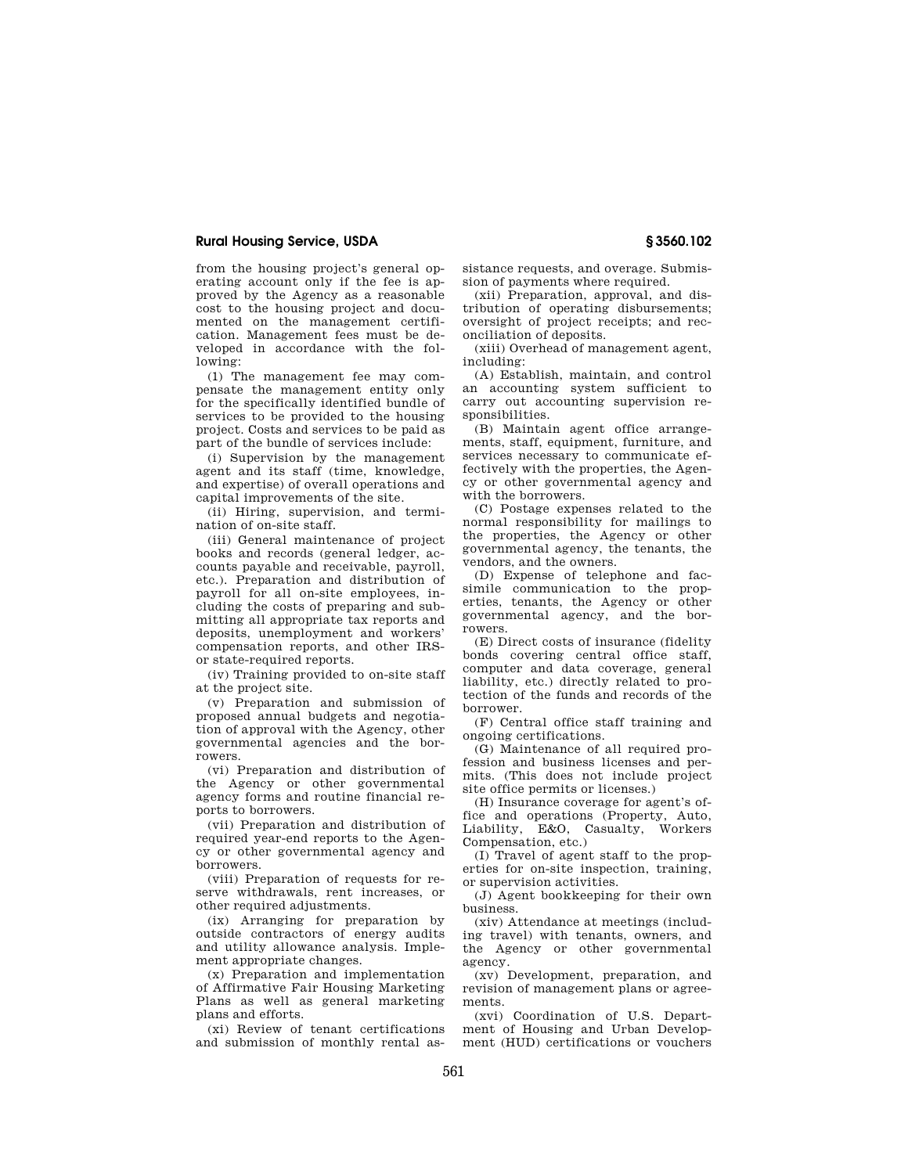# **Rural Housing Service, USDA § 3560.102**

from the housing project's general operating account only if the fee is approved by the Agency as a reasonable cost to the housing project and documented on the management certification. Management fees must be developed in accordance with the following:

(1) The management fee may compensate the management entity only for the specifically identified bundle of services to be provided to the housing project. Costs and services to be paid as part of the bundle of services include:

(i) Supervision by the management agent and its staff (time, knowledge, and expertise) of overall operations and capital improvements of the site.

(ii) Hiring, supervision, and termination of on-site staff.

(iii) General maintenance of project books and records (general ledger, accounts payable and receivable, payroll, etc.). Preparation and distribution of payroll for all on-site employees, including the costs of preparing and submitting all appropriate tax reports and deposits, unemployment and workers' compensation reports, and other IRSor state-required reports.

(iv) Training provided to on-site staff at the project site.

(v) Preparation and submission of proposed annual budgets and negotiation of approval with the Agency, other governmental agencies and the borrowers.

(vi) Preparation and distribution of the Agency or other governmental agency forms and routine financial reports to borrowers.

(vii) Preparation and distribution of required year-end reports to the Agency or other governmental agency and borrowers.

(viii) Preparation of requests for reserve withdrawals, rent increases, or other required adjustments.

(ix) Arranging for preparation by outside contractors of energy audits and utility allowance analysis. Implement appropriate changes.

(x) Preparation and implementation of Affirmative Fair Housing Marketing Plans as well as general marketing plans and efforts.

(xi) Review of tenant certifications and submission of monthly rental assistance requests, and overage. Submission of payments where required.

(xii) Preparation, approval, and distribution of operating disbursements; oversight of project receipts; and reconciliation of deposits.

(xiii) Overhead of management agent, including:

(A) Establish, maintain, and control an accounting system sufficient to carry out accounting supervision responsibilities.

(B) Maintain agent office arrangements, staff, equipment, furniture, and services necessary to communicate effectively with the properties, the Agency or other governmental agency and with the borrowers.

(C) Postage expenses related to the normal responsibility for mailings to the properties, the Agency or other governmental agency, the tenants, the vendors, and the owners.

(D) Expense of telephone and facsimile communication to the properties, tenants, the Agency or other governmental agency, and the borrowers.

(E) Direct costs of insurance (fidelity bonds covering central office staff, computer and data coverage, general liability, etc.) directly related to protection of the funds and records of the borrower.

(F) Central office staff training and ongoing certifications.

(G) Maintenance of all required profession and business licenses and permits. (This does not include project site office permits or licenses.)

(H) Insurance coverage for agent's office and operations (Property, Auto, Liability, E&O, Casualty, Workers Compensation, etc.)

(I) Travel of agent staff to the properties for on-site inspection, training, or supervision activities.

(J) Agent bookkeeping for their own business.

(xiv) Attendance at meetings (including travel) with tenants, owners, and the Agency or other governmental agency.

(xv) Development, preparation, and revision of management plans or agreements.

(xvi) Coordination of U.S. Department of Housing and Urban Development (HUD) certifications or vouchers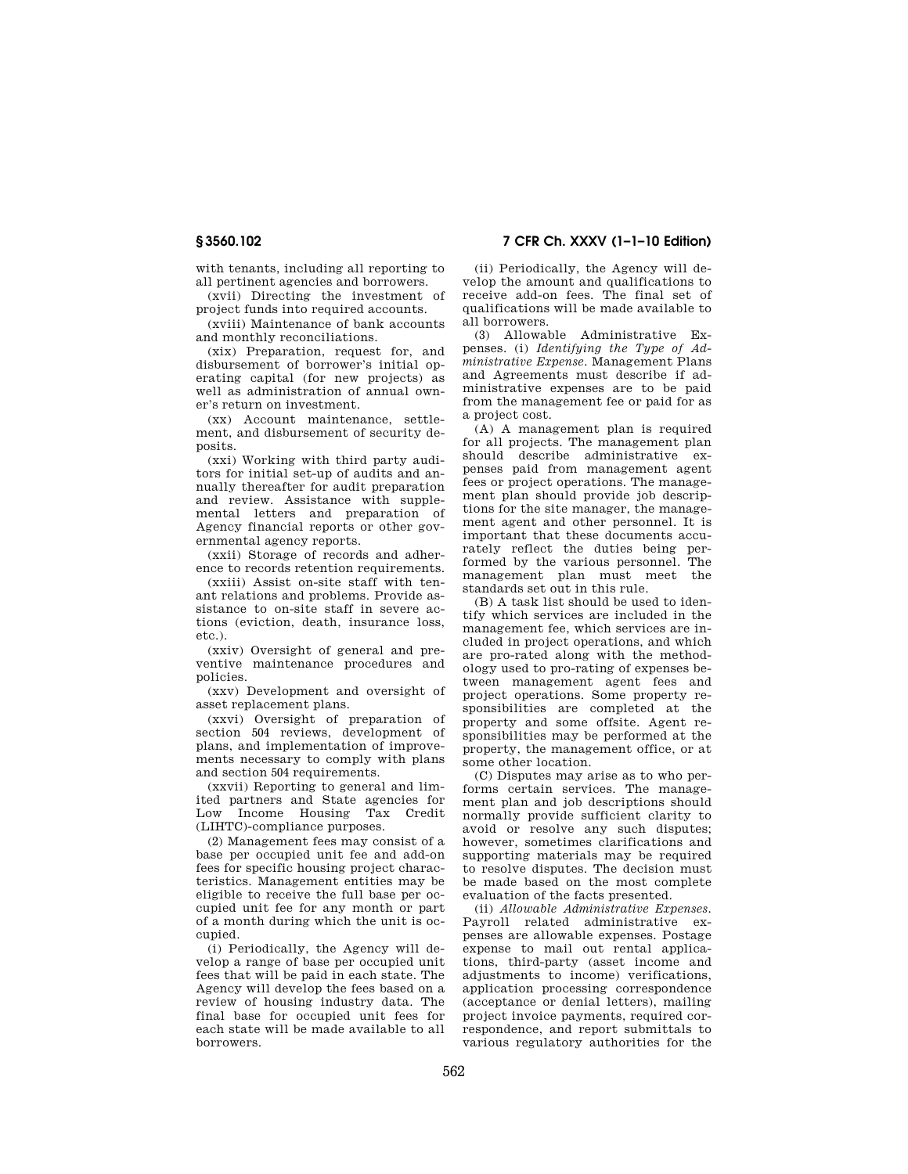with tenants, including all reporting to all pertinent agencies and borrowers.

(xvii) Directing the investment of project funds into required accounts.

(xviii) Maintenance of bank accounts and monthly reconciliations.

(xix) Preparation, request for, and disbursement of borrower's initial operating capital (for new projects) as well as administration of annual owner's return on investment.

(xx) Account maintenance, settlement, and disbursement of security deposits.

(xxi) Working with third party auditors for initial set-up of audits and annually thereafter for audit preparation and review. Assistance with supplemental letters and preparation of Agency financial reports or other governmental agency reports.

(xxii) Storage of records and adherence to records retention requirements.

(xxiii) Assist on-site staff with tenant relations and problems. Provide assistance to on-site staff in severe actions (eviction, death, insurance loss, etc.).

(xxiv) Oversight of general and preventive maintenance procedures and policies.

(xxv) Development and oversight of asset replacement plans.

(xxvi) Oversight of preparation of section 504 reviews, development of plans, and implementation of improvements necessary to comply with plans and section 504 requirements.

(xxvii) Reporting to general and limited partners and State agencies for Low Income Housing Tax Credit (LIHTC)-compliance purposes.

(2) Management fees may consist of a base per occupied unit fee and add-on fees for specific housing project characteristics. Management entities may be eligible to receive the full base per occupied unit fee for any month or part of a month during which the unit is occupied.

(i) Periodically, the Agency will develop a range of base per occupied unit fees that will be paid in each state. The Agency will develop the fees based on a review of housing industry data. The final base for occupied unit fees for each state will be made available to all borrowers.

(ii) Periodically, the Agency will develop the amount and qualifications to receive add-on fees. The final set of qualifications will be made available to all borrowers.

(3) Allowable Administrative Expenses. (i) *Identifying the Type of Administrative Expense.* Management Plans and Agreements must describe if administrative expenses are to be paid from the management fee or paid for as a project cost.

(A) A management plan is required for all projects. The management plan should describe administrative expenses paid from management agent fees or project operations. The management plan should provide job descriptions for the site manager, the management agent and other personnel. It is important that these documents accurately reflect the duties being performed by the various personnel. The management plan must meet the standards set out in this rule.

(B) A task list should be used to identify which services are included in the management fee, which services are included in project operations, and which are pro-rated along with the methodology used to pro-rating of expenses between management agent fees and project operations. Some property responsibilities are completed at the property and some offsite. Agent responsibilities may be performed at the property, the management office, or at some other location.

(C) Disputes may arise as to who performs certain services. The management plan and job descriptions should normally provide sufficient clarity to avoid or resolve any such disputes; however, sometimes clarifications and supporting materials may be required to resolve disputes. The decision must be made based on the most complete evaluation of the facts presented.

(ii) *Allowable Administrative Expenses.*  Payroll related administrative expenses are allowable expenses. Postage expense to mail out rental applications, third-party (asset income and adjustments to income) verifications. application processing correspondence (acceptance or denial letters), mailing project invoice payments, required correspondence, and report submittals to various regulatory authorities for the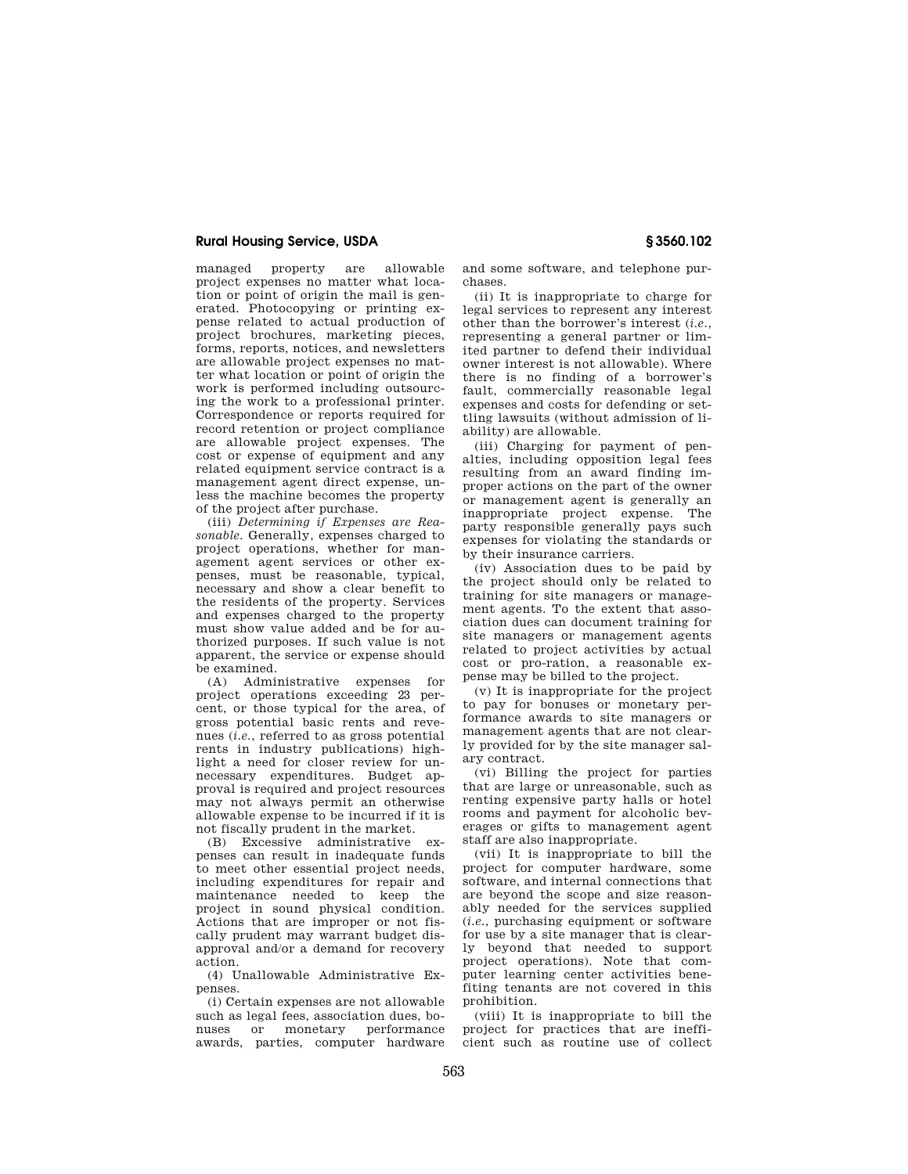# **Rural Housing Service, USDA § 3560.102**

managed property are allowable project expenses no matter what location or point of origin the mail is generated. Photocopying or printing expense related to actual production of project brochures, marketing pieces, forms, reports, notices, and newsletters are allowable project expenses no matter what location or point of origin the work is performed including outsourcing the work to a professional printer. Correspondence or reports required for record retention or project compliance are allowable project expenses. The cost or expense of equipment and any related equipment service contract is a management agent direct expense, unless the machine becomes the property of the project after purchase.

(iii) *Determining if Expenses are Reasonable.* Generally, expenses charged to project operations, whether for management agent services or other expenses, must be reasonable, typical, necessary and show a clear benefit to the residents of the property. Services and expenses charged to the property must show value added and be for authorized purposes. If such value is not apparent, the service or expense should be examined.

(A) Administrative expenses for project operations exceeding 23 percent, or those typical for the area, of gross potential basic rents and revenues (*i.e.*, referred to as gross potential rents in industry publications) highlight a need for closer review for unnecessary expenditures. Budget approval is required and project resources may not always permit an otherwise allowable expense to be incurred if it is not fiscally prudent in the market.

(B) Excessive administrative expenses can result in inadequate funds to meet other essential project needs, including expenditures for repair and maintenance needed to keep the project in sound physical condition. Actions that are improper or not fiscally prudent may warrant budget disapproval and/or a demand for recovery action.

(4) Unallowable Administrative Expenses.

(i) Certain expenses are not allowable such as legal fees, association dues, bonuses or monetary performance awards, parties, computer hardware

and some software, and telephone purchases.

(ii) It is inappropriate to charge for legal services to represent any interest other than the borrower's interest (*i.e.*, representing a general partner or limited partner to defend their individual owner interest is not allowable). Where there is no finding of a borrower's fault, commercially reasonable legal expenses and costs for defending or settling lawsuits (without admission of liability) are allowable.

(iii) Charging for payment of penalties, including opposition legal fees resulting from an award finding improper actions on the part of the owner or management agent is generally an inappropriate project expense. The party responsible generally pays such expenses for violating the standards or by their insurance carriers.

(iv) Association dues to be paid by the project should only be related to training for site managers or management agents. To the extent that association dues can document training for site managers or management agents related to project activities by actual cost or pro-ration, a reasonable expense may be billed to the project.

(v) It is inappropriate for the project to pay for bonuses or monetary performance awards to site managers or management agents that are not clearly provided for by the site manager salary contract.

(vi) Billing the project for parties that are large or unreasonable, such as renting expensive party halls or hotel rooms and payment for alcoholic beverages or gifts to management agent staff are also inappropriate.

(vii) It is inappropriate to bill the project for computer hardware, some software, and internal connections that are beyond the scope and size reasonably needed for the services supplied (*i.e.*, purchasing equipment or software for use by a site manager that is clearly beyond that needed to support project operations). Note that computer learning center activities benefiting tenants are not covered in this prohibition.

(viii) It is inappropriate to bill the project for practices that are inefficient such as routine use of collect